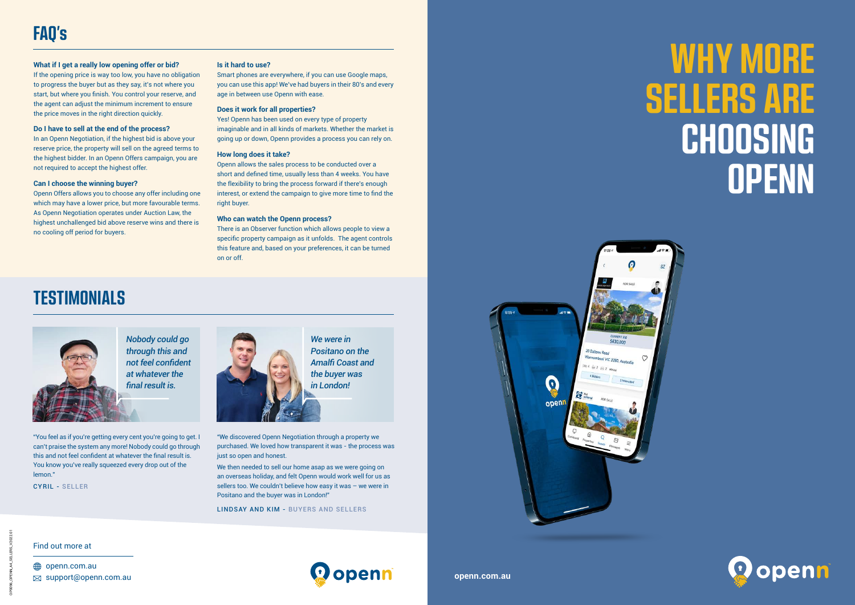# **WHY MORE SELLERS ARE CHOOSING OPENN**



### Find out more at

**<sup>●</sup>** openn.com.au  $\boxtimes$  support@openn.com.au



*We were in Positano on the Amalfi Coast and the buyer was in London!*



*Nobody could go through this and not feel confident at whatever the final result is.*

#### **Is it hard to use?**

Smart phones are everywhere, if you can use Google maps, you can use this app! We've had buyers in their 80's and every age in between use Openn with ease.

### **Does it work for all properties?**

Yes! Openn has been used on every type of property imaginable and in all kinds of markets. Whether the market is going up or down, Openn provides a process you can rely on.

#### **How long does it take?**

Openn allows the sales process to be conducted over a short and defined time, usually less than 4 weeks. You have the flexibility to bring the process forward if there's enough interest, or extend the campaign to give more time to find the right buyer.

#### **Who can watch the Openn process?**

There is an Observer function which allows people to view a specific property campaign as it unfolds. The agent controls this feature and, based on your preferences, it can be turned on or off.

### **What if I get a really low opening offer or bid?**

If the opening price is way too low, you have no obligation to progress the buyer but as they say, it's not where you start, but where you finish. You control your reserve, and the agent can adjust the minimum increment to ensure the price moves in the right direction quickly.

#### **Do I have to sell at the end of the process?**

In an Openn Negotiation, if the highest bid is above your reserve price, the property will sell on the agreed terms to the highest bidder. In an Openn Offers campaign, you are not required to accept the highest offer.

#### **Can I choose the winning buyer?**

Openn Offers allows you to choose any offer including one which may have a lower price, but more favourable terms. As Openn Negotiation operates under Auction Law, the highest unchallenged bid above reserve wins and there is no cooling off period for buyers.

## **TESTIMONIALS**

"You feel as if you're getting every cent you're going to get. I can't praise the system any more! Nobody could go through this and not feel confident at whatever the final result is. You know you've really squeezed every drop out of the lemon."

CYRIL - SELLER



"We discovered Openn Negotiation through a property we purchased. We loved how transparent it was - the process was just so open and honest.

We then needed to sell our home asap as we were going on an overseas holiday, and felt Openn would work well for us as sellers too. We couldn't believe how easy it was – we were in Positano and the buyer was in London!"

LINDSAY AND KIM - BUYERS AND SELLERS



**openn.com.au**